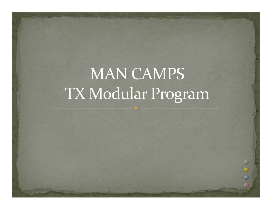# MAN CAMPS TX Modular Program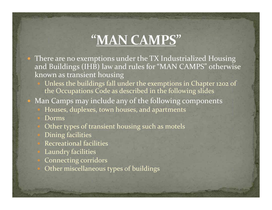# "MAN CAMPS"

- There are no exemptions under the TX Industrialized Housing and Buildings (IHB) law and rules for "MAN CAMPS" otherwise known as transient housing
	- Unless the buildings fall under the exemptions in Chapter <sup>1202</sup> of the Occupations Code as described in the following slides
- Man Camps may include any of the following components
	- Houses, duplexes, town houses, and apartments
	- Dorms
	- Other types of transient housing such as motels
	- Dining facilities
	- Recreational facilities
	- Laundry facilities
	- Connecting corridors
	- Other miscellaneous types of buildings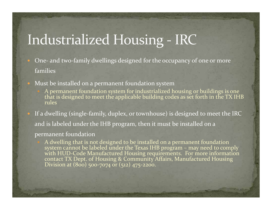# **Industrialized Housing - IRC**

- One- and two-family dwellings designed for the occupancy of one or more families
- O • Must be installed on a permanent foundation system
	- A permanent foundation system for industrialized housing or buildings is one that is designed to meet the applicable building codes as set forth in the TX IHB rules
- If <sup>a</sup> dwelling (single‐family, duplex, or townhouse) is designed to meet the IRC and is labeled under the IHB program, then it must be installed on <sup>a</sup>

#### permanen<sup>t</sup> foundation

• A dwelling that is not designed to be installed on a permanent foundation system cannot be labeled under the Texas IHB program – may need to comply<br>with HUD‐Code Manufactured Housing requirements. For more information contact TX Dept. of Housing & Community Affairs, Manufactured Housing Division at (800) <sup>500</sup>‐<sup>7074</sup> or (512) <sup>475</sup>‐2200.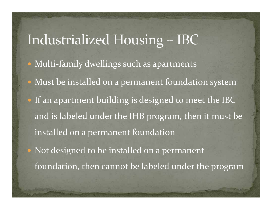# **Industrialized Housing - IBC**

• Multi-family dwellings such as apartments Must be installed on <sup>a</sup> permanen<sup>t</sup> foundation system • If an apartment building is designed to meet the IBC and is labeled under the IHB program, then it must be installed on <sup>a</sup> permanen<sup>t</sup> foundation • Not designed to be installed on a permanent foundation, then cannot be labeled under the program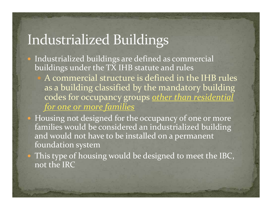# **Industrialized Buildings**

- Industrialized buildings are defined as commercial buildings under the TX IHB statute and rules
	- A commercial structure is defined in the IHB rules as a building classified by the mandatory building codes for occupancy groups *other than residential for one or more families*
- Housing not designed for the occupancy of one or more families would be considered an industrialized building and would not have to be installed on a permanent foundation system
- This type of housing would be designed to meet the IBC, not the IRC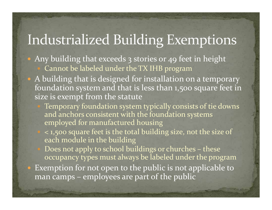# **Industrialized Building Exemptions**

- Any building that exceeds 3 stories or 49 feet in height • Cannot be labeled under the TX IHB program
- A building that is designed for installation on a temporary foundation system and that is less than 1,500 square feet in size is exemp<sup>t</sup> from the statute
	- Temporary foundation system typically consists of tie downs and anchors consistent with the foundation systems employed for manufactured housing
		- < 1,500 square feet is the total building size, not the size of each module in the building
	- Does not apply to school buildings or churches these occupancy types must always be labeled under the program
- Exemption for not open to the public is not applicable to man camps – employees are par<sup>t</sup> of the public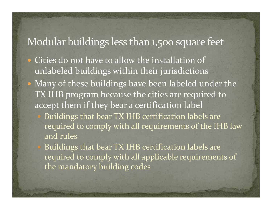## Modular buildings less than 1,500 square feet

- Cities do not have to allow the installation of unlabeled buildings within their jurisdictions
- Many of these buildings have been labeled under the TX IHB program because the cities are required to accep<sup>t</sup> them if they bear <sup>a</sup> certification label
	- Buildings that bear TX IHB certification labels are required to comply with all requirements of the IHB law and rules
	- Buildings that bear TX IHB certification labels are required to comply with all applicable requirements of the mandatory building codes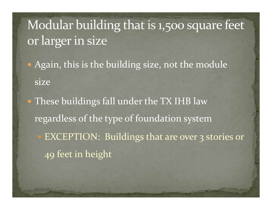# Modular building that is 1,500 square feet or larger in size

 Again, this is the building size, not the module size

 These buildings fall under the TX IHB law regardless of the type of foundation system EXCEPTION: Buildings that are over 3 stories or 49 feet in height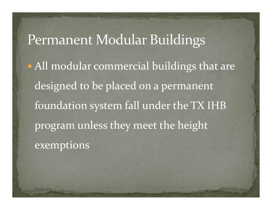## Permanent Modular Buildings

 $\bullet$ 

 All modular commercial buildings that are designed to be placed on <sup>a</sup> permanen<sup>t</sup> foundation system fall under the TX IHB program unless they meet the height exemptions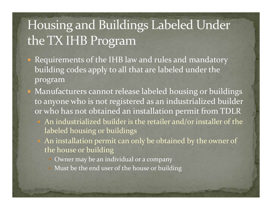# Housing and Buildings Labeled Under the TX IHB Program

- Requirements of the IHB law and rules and mandatory building codes apply to all that are labeled under the program
- Manufacturers cannot release labeled housing or buildings to anyone who is not registered as an industrialized builder or who has not obtained an installation permit from TDLR An industrialized builder is the retailer and/or installer of the labeled housing or buildings
	- An installation permit can only be obtained by the owner of the house or building
		- Owner may be an individual or <sup>a</sup> company
		- Must be the end user of the house or building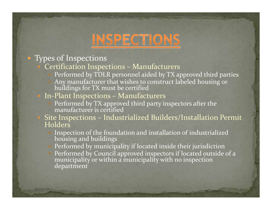# INSPECTIONS

### Types of Inspections

- Certification Inspections Manufacturers
	- Performed by TDLR personnel aided by TX approved third parties Any manufacturer that wishes to construct labeled housing or buildings for TX must be certified

### In ‐Plant Inspections – Manufacturers

Performed by TX approve<sup>d</sup> third party inspectors after the manufacturer is certified

# Site Inspections – Industrialized Builders/Installation Permit Holders

- Inspection of the foundation and installation of industrialized housing and buildings
- Performed by municipality if located inside their jurisdiction
- Performed by Council approved inspectors if located outside of a municipality or within a municipality with no inspection department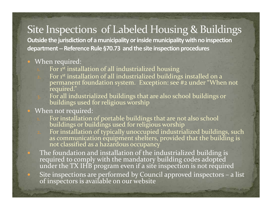## Site Inspections of Labeled Housing & Buildings

Outside the jurisdiction of a municipality or inside municipality with no inspection department -- Reference Rule §70.73 and the site inspection procedures

### • When required:

- . For 1st installation of all industrialized housing
- For <sup>1</sup>st installation of all industrialized buildings installed on a permanen<sup>t</sup> foundation system. Exception: see #2 under "When not required."
	- 3. For all industrialized buildings that are also school buildings or buildings used for religious worship

#### • When not required:

O

- For installation of portable buildings that are not also school buildings or buildings used for religious worship For installation of typically unoccupied industrialized buildings, such as communication equipment shelters, provided that the building is not classified as a hazardous occupancy
- The foundation and installation of the industrialized building is required to comply with the mandatory building codes adopted<br>under the TX IHB program even if a site inspection is not required Site inspections are performed by Council approved inspectors – a list of inspectors is available on our website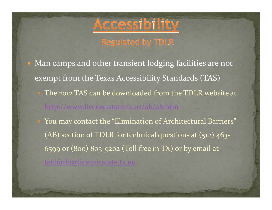

Regulated by TDLR

 Man camps and other transient lodging facilities are not exemp<sup>t</sup> from the Texas Accessibility Standards (TAS) The <sup>2012</sup> TAS can be downloaded from the TDLR website at http://www.license.state.tx.us/ab/ab.htm You may contact the "Elimination of Architectural Barriers" (AB) section of TDLR for technical questions at (512) 463‐ 6599 or (800) 803‐<sup>9202</sup> (Toll free in TX) or by email at techinfo@license.state.tx.us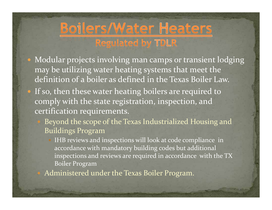## Boilers/Water Heaters Regulated by TDLR

- Modular projects involving man camps or transient lodging may be utilizing water heating systems that meet the definition of <sup>a</sup> boiler as defined in the Texas Boiler Law.
- If so, then these water heating boilers are required to comply with the state registration, inspection, and certification requirements.
	- Beyond the scope of the Texas Industrialized Housing and Buildings Program
		- IHB reviews and inspections will look at code compliance in accordance with mandatory building codes but additional inspections and reviews are required in accordance with the TX Boiler Program

• Administered under the Texas Boiler Program.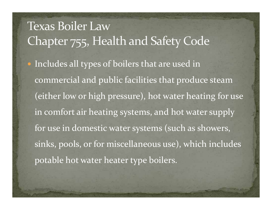## **Texas Boiler Law** Chapter 755, Health and Safety Code

• Includes all types of boilers that are used in commercial and public facilities that produce steam (either low or high pressure), hot water heating for use in comfort air heating systems, and hot water supply for use in domestic water systems (such as showers, sinks, pools, or for miscellaneous use), which includes potable hot water heater type boilers.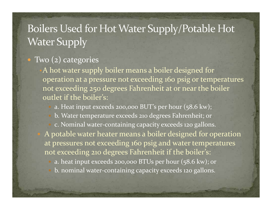## Boilers Used for Hot Water Supply/Potable Hot **Water Supply**

### • Two (2) categories

•A hot water supply boiler means <sup>a</sup> boiler designed for operation at <sup>a</sup> pressure not exceeding 160 psig or temperatures not exceeding 250 degrees Fahrenheit at or near the boiler outlet if the boiler's:

a. Heat input exceeds 200,000 BUT's per hour (58.6 kw);

- b. Water temperature exceeds <sup>210</sup> degrees Fahrenheit; or
- c. Nominal water‐containing capacity exceeds <sup>120</sup> gallons. A potable water heater means <sup>a</sup> boiler designed for operation at pressures not exceeding 160 psig and water temperatures not exceeding <sup>210</sup> degrees Fahrenheit if the boiler's:

a. heat input exceeds 200,000 BTUs per hour (58.6 kw); or

b. nominal water‐containing capacity exceeds <sup>120</sup> gallons.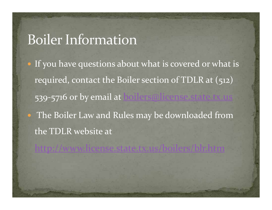# **Boiler Information**

- If you have questions about what is covered or what is required, contact the Boiler section of TDLR at (512) 539-5716 or by email at boilers@license.state.tx.u The Boiler Law and Rules may be downloaded from the TDLR website at
	- http://www.license.state.tx.us/boilers/bl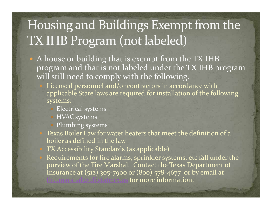# Housing and Buildings Exempt from the TX IHB Program (not labeled)

- A house or building that is exempt from the TX IHB program and that is not labeled under the TX IHB program will still need to comply with the following.
	- Licensed personnel and/or contractors in accordance with applicable State laws are required for installation of the following systems:
		- Electrical systems
		- HVAC systems
		- Plumbing systems

• Texas Boiler Law for water heaters that meet the definition of a boiler as defined in the law

TX Accessibility Standards (as applicable)

 Requirements for fire alarms, sprinkler systems, etc fall under the purview of the Fire Marshal. Contact the Texas Department of Insurance at (512) <sup>305</sup> ‐<sup>7900</sup> or (800) <sup>57</sup><sup>8</sup> ‐4677 or by email at for more information.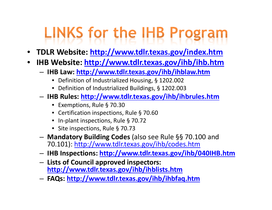# **LINKS for the IHB Program**

- **TDLR Website: http://www.tdlr.texas.gov/index.htm**
- $\bullet$  **IHB Website: http://www.tdlr.texas.gov/ihb/ihb.htm**
	- **IHB Law: http://www.tdlr.texas.gov/ihb/ihblaw.htm**
		- Definition of Industrialized Housing, § 1202.002
		- Definition of Industrialized Buildings, § 1202.003
	- **IHB Rules: http://www.tdlr.texas.gov/ihb/ihbrules.htm**
		- Exemptions, Rule § 70.30
		- Certification inspections, Rule § 70.60
		- In‐plant inspections, Rule § 70.72
		- Site inspections, Rule § 70.73
	- **Mandatory Building Codes** (also see Rule §§ 70.100 and 70.101): http://www.tdlr.texas.gov/ihb/codes.htm
	- **IHB Inspections: http://www.tdlr.texas.gov/ihb/040IHB.htm**
	- **Lists of Council approved inspectors: http://www.tdlr.texas.gov/ihb/ihblists.htm**
	- –**FAQs: http://www.tdlr.texas.gov/ihb/ihbfaq.htm**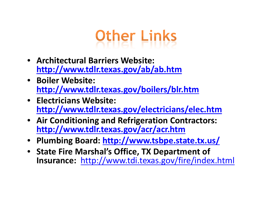# **Other Links**

- **Architectural Barriers Website: http://www.tdlr.texas.gov/ab/ab.htm**
- **Boiler Website: http://www.tdlr.texas.gov/boilers/blr.htm**
- **Electricians Website: http://www.tdlr.texas.gov/electricians/elec.htm**
- **Air Conditioning and Refrigeration Contractors: http://www.tdlr.texas.gov/acr/acr.htm**
- **Plumbing Board: http://www.tsbpe.state.tx.us/**
- **State Fire Marshal's Office, TX Department of Insurance:** http://www.tdi.texas.gov/fire/index.html